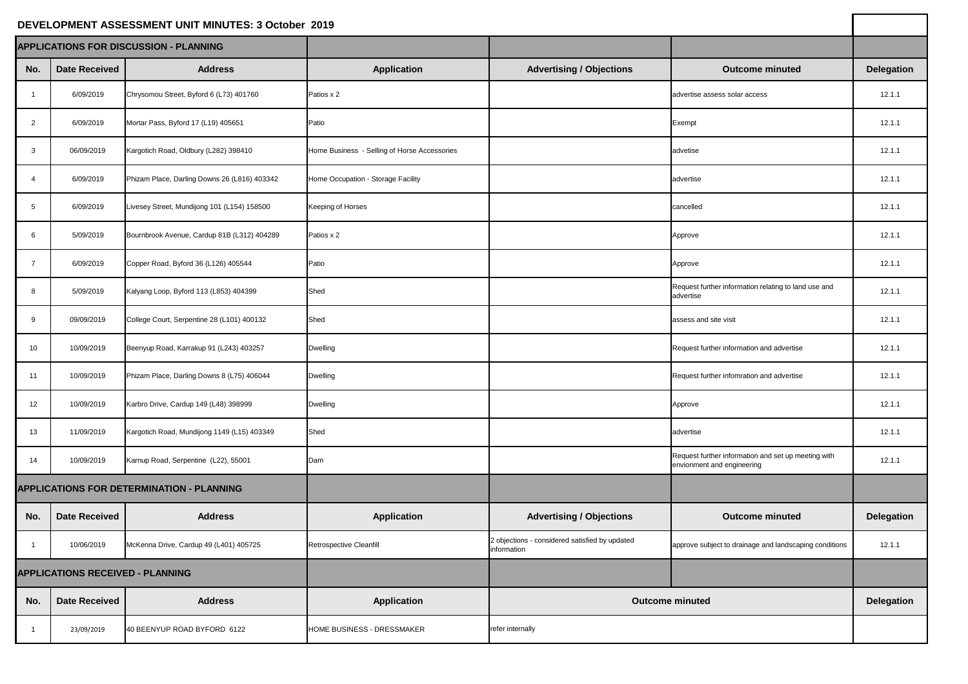## **DEVELOPMENT ASSESSMENT UNIT MINUTES: 3 October 2019**

| DEVELOPMENT ASSESSMENT UNIT MINUTES: 3 October 2019 |                      |                                              |                                              |                                                               |                                                                                   |                   |
|-----------------------------------------------------|----------------------|----------------------------------------------|----------------------------------------------|---------------------------------------------------------------|-----------------------------------------------------------------------------------|-------------------|
| <b>APPLICATIONS FOR DISCUSSION - PLANNING</b>       |                      |                                              |                                              |                                                               |                                                                                   |                   |
| No.                                                 | <b>Date Received</b> | <b>Address</b>                               | <b>Application</b>                           | <b>Advertising / Objections</b>                               | <b>Outcome minuted</b>                                                            | <b>Delegation</b> |
|                                                     | 6/09/2019            | Chrysomou Street, Byford 6 (L73) 401760      | Patios x 2                                   |                                                               | advertise assess solar access                                                     | 12.1.1            |
| $\overline{2}$                                      | 6/09/2019            | Mortar Pass, Byford 17 (L19) 405651          | Patio                                        |                                                               | Exempt                                                                            | 12.1.1            |
| 3                                                   | 06/09/2019           | Kargotich Road, Oldbury (L282) 398410        | Home Business - Selling of Horse Accessories |                                                               | advetise                                                                          | 12.1.1            |
|                                                     | 6/09/2019            | Phizam Place, Darling Downs 26 (L816) 403342 | Home Occupation - Storage Facility           |                                                               | advertise                                                                         | 12.1.1            |
| -5                                                  | 6/09/2019            | Livesey Street, Mundijong 101 (L154) 158500  | <b>Keeping of Horses</b>                     |                                                               | cancelled                                                                         | 12.1.1            |
| -6                                                  | 5/09/2019            | Bournbrook Avenue, Cardup 81B (L312) 404289  | Patios x 2                                   |                                                               | Approve                                                                           | 12.1.1            |
|                                                     | 6/09/2019            | Copper Road, Byford 36 (L126) 405544         | Patio                                        |                                                               | Approve                                                                           | 12.1.1            |
| 8                                                   | 5/09/2019            | Kalyang Loop, Byford 113 (L853) 404399       | Shed                                         |                                                               | Request further information relating to land use and<br>advertise                 | 12.1.1            |
| -9                                                  | 09/09/2019           | College Court, Serpentine 28 (L101) 400132   | Shed                                         |                                                               | assess and site visit                                                             | 12.1.1            |
| 10                                                  | 10/09/2019           | Beenyup Road, Karrakup 91 (L243) 403257      | <b>Dwelling</b>                              |                                                               | Request further information and advertise                                         | 12.1.1            |
| 11                                                  | 10/09/2019           | Phizam Place, Darling Downs 8 (L75) 406044   | <b>Dwelling</b>                              |                                                               | Request further infomration and advertise                                         | 12.1.1            |
| 12                                                  | 10/09/2019           | Karbro Drive, Cardup 149 (L48) 398999        | <b>Dwelling</b>                              |                                                               | Approve                                                                           | 12.1.1            |
| 13                                                  | 11/09/2019           | Kargotich Road, Mundijong 1149 (L15) 403349  | Shed                                         |                                                               | advertise                                                                         | 12.1.1            |
| 14                                                  | 10/09/2019           | Karnup Road, Serpentine (L22), 55001         | Dam                                          |                                                               | Request further information and set up meeting with<br>envionment and engineering | 12.1.1            |
| <b>APPLICATIONS FOR DETERMINATION - PLANNING</b>    |                      |                                              |                                              |                                                               |                                                                                   |                   |
| No.                                                 | <b>Date Received</b> | <b>Address</b>                               | <b>Application</b>                           | <b>Advertising / Objections</b>                               | <b>Outcome minuted</b>                                                            | <b>Delegation</b> |
|                                                     | 10/06/2019           | McKenna Drive, Cardup 49 (L401) 405725       | Retrospective Cleanfill                      | 2 objections - considered satisfied by updated<br>information | approve subject to drainage and landscaping conditions                            | 12.1.1            |
| <b>APPLICATIONS RECEIVED - PLANNING</b>             |                      |                                              |                                              |                                                               |                                                                                   |                   |
| No.                                                 | <b>Date Received</b> | <b>Address</b>                               | <b>Application</b>                           |                                                               | <b>Outcome minuted</b>                                                            | <b>Delegation</b> |
|                                                     | 23/09/2019           | 40 BEENYUP ROAD BYFORD 6122                  | HOME BUSINESS - DRESSMAKER                   | refer internally                                              |                                                                                   |                   |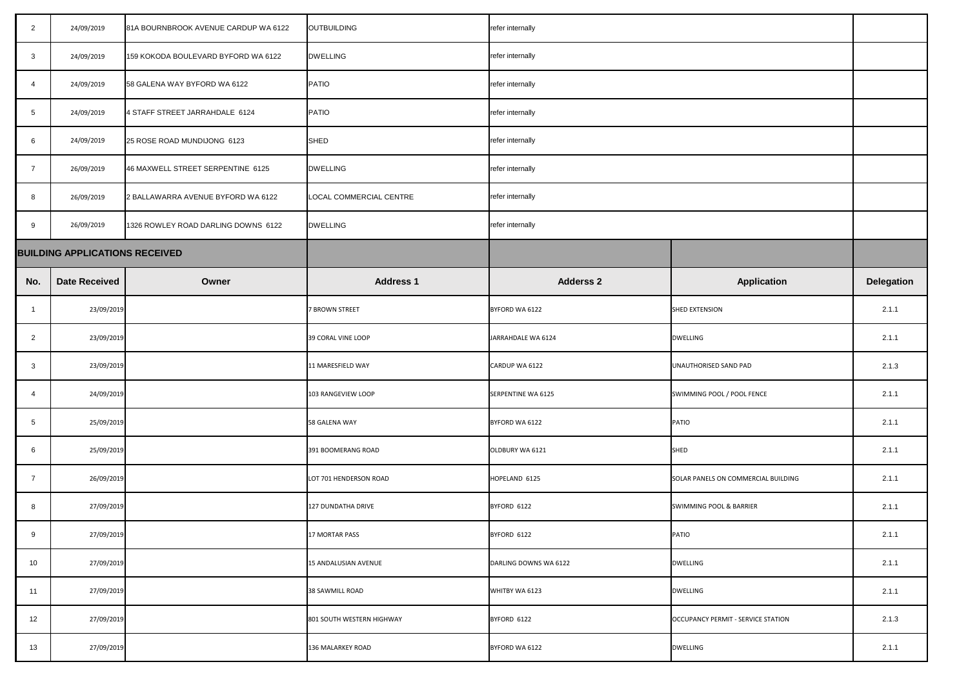| $\overline{2}$          | 24/09/2019                            | 81A BOURNBROOK AVENUE CARDUP WA 6122 | <b>OUTBUILDING</b>        | refer internally      |                                     |                   |
|-------------------------|---------------------------------------|--------------------------------------|---------------------------|-----------------------|-------------------------------------|-------------------|
| $\mathbf{3}$            | 24/09/2019                            | 159 KOKODA BOULEVARD BYFORD WA 6122  | <b>DWELLING</b>           | refer internally      |                                     |                   |
| $\overline{4}$          | 24/09/2019                            | 58 GALENA WAY BYFORD WA 6122         | <b>PATIO</b>              | refer internally      |                                     |                   |
| $5\overline{)}$         | 24/09/2019                            | 4 STAFF STREET JARRAHDALE 6124       | <b>PATIO</b>              | refer internally      |                                     |                   |
| 6                       | 24/09/2019                            | 25 ROSE ROAD MUNDIJONG 6123          | SHED                      | refer internally      |                                     |                   |
| $\overline{7}$          | 26/09/2019                            | 46 MAXWELL STREET SERPENTINE 6125    | <b>DWELLING</b>           | refer internally      |                                     |                   |
| 8                       | 26/09/2019                            | 2 BALLAWARRA AVENUE BYFORD WA 6122   | LOCAL COMMERCIAL CENTRE   | refer internally      |                                     |                   |
| 9                       | 26/09/2019                            | 1326 ROWLEY ROAD DARLING DOWNS 6122  | <b>DWELLING</b>           | refer internally      |                                     |                   |
|                         | <b>BUILDING APPLICATIONS RECEIVED</b> |                                      |                           |                       |                                     |                   |
| No.                     | <b>Date Received</b>                  | Owner                                | <b>Address 1</b>          | <b>Adderss 2</b>      | <b>Application</b>                  | <b>Delegation</b> |
| $\overline{\mathbf{1}}$ | 23/09/2019                            |                                      | <b>7 BROWN STREET</b>     | BYFORD WA 6122        | <b>SHED EXTENSION</b>               | 2.1.1             |
| $\overline{2}$          | 23/09/2019                            |                                      | 39 CORAL VINE LOOP        | JARRAHDALE WA 6124    | <b>DWELLING</b>                     | 2.1.1             |
| $\mathbf{3}$            | 23/09/2019                            |                                      | 11 MARESFIELD WAY         | CARDUP WA 6122        | UNAUTHORISED SAND PAD               | 2.1.3             |
| $\overline{4}$          | 24/09/2019                            |                                      | 103 RANGEVIEW LOOP        | SERPENTINE WA 6125    | SWIMMING POOL / POOL FENCE          | 2.1.1             |
| $5\phantom{.0}$         | 25/09/2019                            |                                      | 58 GALENA WAY             | BYFORD WA 6122        | PATIO                               | 2.1.1             |
| 6                       | 25/09/2019                            |                                      | 391 BOOMERANG ROAD        | OLDBURY WA 6121       | <b>SHED</b>                         | 2.1.1             |
| $\overline{7}$          | 26/09/2019                            |                                      | LOT 701 HENDERSON ROAD    | HOPELAND 6125         | SOLAR PANELS ON COMMERCIAL BUILDING | 2.1.1             |
| 8                       | 27/09/2019                            |                                      | 127 DUNDATHA DRIVE        | BYFORD 6122           | <b>SWIMMING POOL &amp; BARRIER</b>  | 2.1.1             |
| 9                       | 27/09/2019                            |                                      | <b>17 MORTAR PASS</b>     | BYFORD 6122           | PATIO                               | 2.1.1             |
| 10                      | 27/09/2019                            |                                      | 15 ANDALUSIAN AVENUE      | DARLING DOWNS WA 6122 | <b>DWELLING</b>                     | 2.1.1             |
| 11                      | 27/09/2019                            |                                      | 38 SAWMILL ROAD           | WHITBY WA 6123        | <b>DWELLING</b>                     | 2.1.1             |
| 12                      | 27/09/2019                            |                                      | 801 SOUTH WESTERN HIGHWAY | BYFORD 6122           | OCCUPANCY PERMIT - SERVICE STATION  | 2.1.3             |
| 13                      | 27/09/2019                            |                                      | 136 MALARKEY ROAD         | BYFORD WA 6122        | <b>DWELLING</b>                     | 2.1.1             |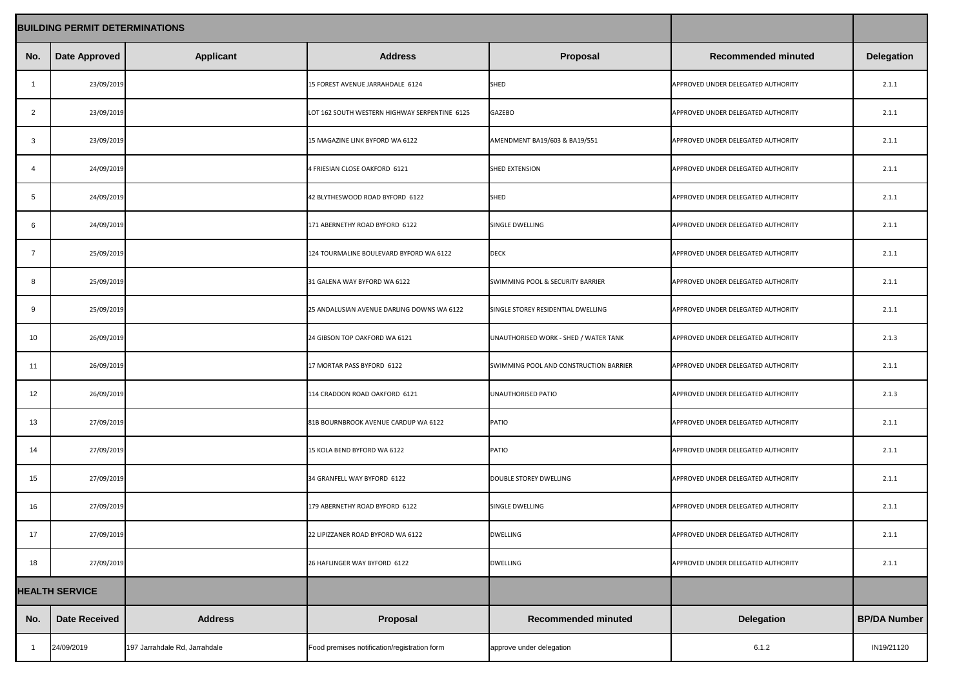|                       | <b>BUILDING PERMIT DETERMINATIONS</b> |                               |                                               |                                             |                                    |                     |
|-----------------------|---------------------------------------|-------------------------------|-----------------------------------------------|---------------------------------------------|------------------------------------|---------------------|
| No.                   | Date Approved                         | <b>Applicant</b>              | <b>Address</b>                                | <b>Proposal</b>                             | <b>Recommended minuted</b>         | <b>Delegation</b>   |
|                       | 23/09/2019                            |                               | 15 FOREST AVENUE JARRAHDALE 6124              | SHED                                        | APPROVED UNDER DELEGATED AUTHORITY | 2.1.1               |
| $\overline{2}$        | 23/09/2019                            |                               | LOT 162 SOUTH WESTERN HIGHWAY SERPENTINE 6125 | <b>GAZEBO</b>                               | APPROVED UNDER DELEGATED AUTHORITY | 2.1.1               |
| -3                    | 23/09/2019                            |                               | 15 MAGAZINE LINK BYFORD WA 6122               | AMENDMENT BA19/603 & BA19/551               | APPROVED UNDER DELEGATED AUTHORITY | 2.1.1               |
| -4                    | 24/09/2019                            |                               | 4 FRIESIAN CLOSE OAKFORD 6121                 | SHED EXTENSION                              | APPROVED UNDER DELEGATED AUTHORITY | 2.1.1               |
| $5\phantom{.0}$       | 24/09/2019                            |                               | 42 BLYTHESWOOD ROAD BYFORD 6122               | SHED                                        | APPROVED UNDER DELEGATED AUTHORITY | 2.1.1               |
| 6                     | 24/09/2019                            |                               | 171 ABERNETHY ROAD BYFORD 6122                | SINGLE DWELLING                             | APPROVED UNDER DELEGATED AUTHORITY | 2.1.1               |
| $\overline{7}$        | 25/09/2019                            |                               | 124 TOURMALINE BOULEVARD BYFORD WA 6122       | <b>DECK</b>                                 | APPROVED UNDER DELEGATED AUTHORITY | 2.1.1               |
| 8                     | 25/09/2019                            |                               | 31 GALENA WAY BYFORD WA 6122                  | <b>SWIMMING POOL &amp; SECURITY BARRIER</b> | APPROVED UNDER DELEGATED AUTHORITY | 2.1.1               |
| 9                     | 25/09/2019                            |                               | 25 ANDALUSIAN AVENUE DARLING DOWNS WA 6122    | SINGLE STOREY RESIDENTIAL DWELLING          | APPROVED UNDER DELEGATED AUTHORITY | 2.1.1               |
| 10                    | 26/09/2019                            |                               | 24 GIBSON TOP OAKFORD WA 6121                 | UNAUTHORISED WORK - SHED / WATER TANK       | APPROVED UNDER DELEGATED AUTHORITY | 2.1.3               |
| 11                    | 26/09/2019                            |                               | 17 MORTAR PASS BYFORD 6122                    | SWIMMING POOL AND CONSTRUCTION BARRIER      | APPROVED UNDER DELEGATED AUTHORITY | 2.1.1               |
| 12                    | 26/09/2019                            |                               | 114 CRADDON ROAD OAKFORD 6121                 | <b>UNAUTHORISED PATIO</b>                   | APPROVED UNDER DELEGATED AUTHORITY | 2.1.3               |
| 13                    | 27/09/2019                            |                               | 81B BOURNBROOK AVENUE CARDUP WA 6122          | PATIO                                       | APPROVED UNDER DELEGATED AUTHORITY | 2.1.1               |
| 14                    | 27/09/2019                            |                               | 15 KOLA BEND BYFORD WA 6122                   | PATIO                                       | APPROVED UNDER DELEGATED AUTHORITY | 2.1.1               |
| 15                    | 27/09/2019                            |                               | 34 GRANFELL WAY BYFORD 6122                   | DOUBLE STOREY DWELLING                      | APPROVED UNDER DELEGATED AUTHORITY | 2.1.1               |
| 16                    | 27/09/2019                            |                               | 179 ABERNETHY ROAD BYFORD 6122                | SINGLE DWELLING                             | APPROVED UNDER DELEGATED AUTHORITY | 2.1.1               |
| 17                    | 27/09/2019                            |                               | 22 LIPIZZANER ROAD BYFORD WA 6122             | <b>DWELLING</b>                             | APPROVED UNDER DELEGATED AUTHORITY | 2.1.1               |
| 18                    | 27/09/2019                            |                               | 26 HAFLINGER WAY BYFORD 6122                  | <b>DWELLING</b>                             | APPROVED UNDER DELEGATED AUTHORITY | 2.1.1               |
| <b>HEALTH SERVICE</b> |                                       |                               |                                               |                                             |                                    |                     |
| No.                   | <b>Date Received</b>                  | <b>Address</b>                | <b>Proposal</b>                               | <b>Recommended minuted</b>                  | <b>Delegation</b>                  | <b>BP/DA Number</b> |
|                       | 24/09/2019                            | 197 Jarrahdale Rd, Jarrahdale | Food premises notification/registration form  | approve under delegation                    | 6.1.2                              | IN19/21120          |